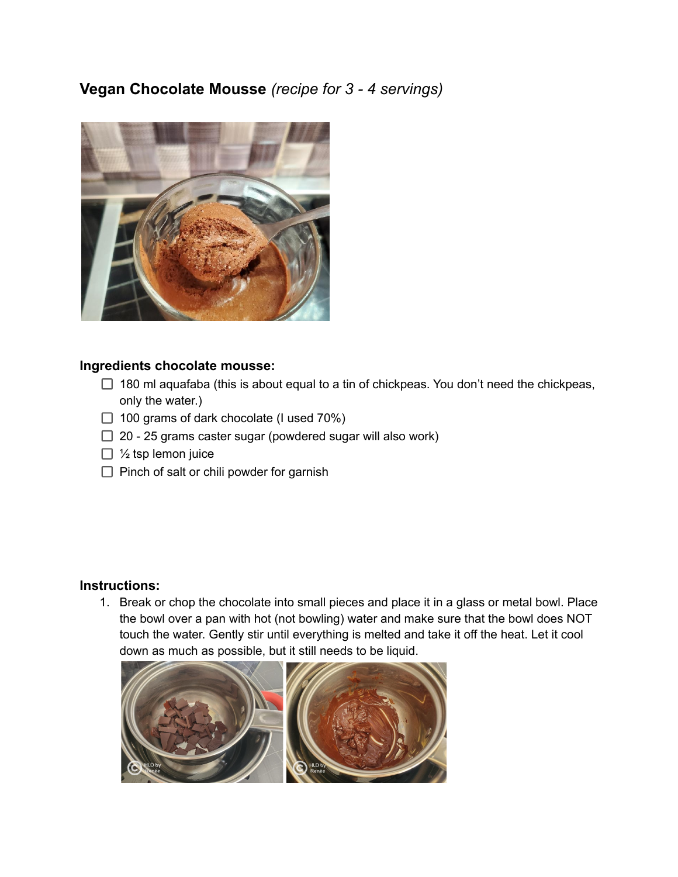## **Vegan Chocolate Mousse** *(recipe for 3 - 4 servings)*



## **Ingredients chocolate mousse:**

- $\Box$  180 ml aquafaba (this is about equal to a tin of chickpeas. You don't need the chickpeas, only the water.)
- $\Box$  100 grams of dark chocolate (I used 70%)
- $\Box$  20 25 grams caster sugar (powdered sugar will also work)
- $\Box$  1/<sub>2</sub> tsp lemon juice
- $\Box$  Pinch of salt or chili powder for garnish

## **Instructions:**

1. Break or chop the chocolate into small pieces and place it in a glass or metal bowl. Place the bowl over a pan with hot (not bowling) water and make sure that the bowl does NOT touch the water. Gently stir until everything is melted and take it off the heat. Let it cool down as much as possible, but it still needs to be liquid.